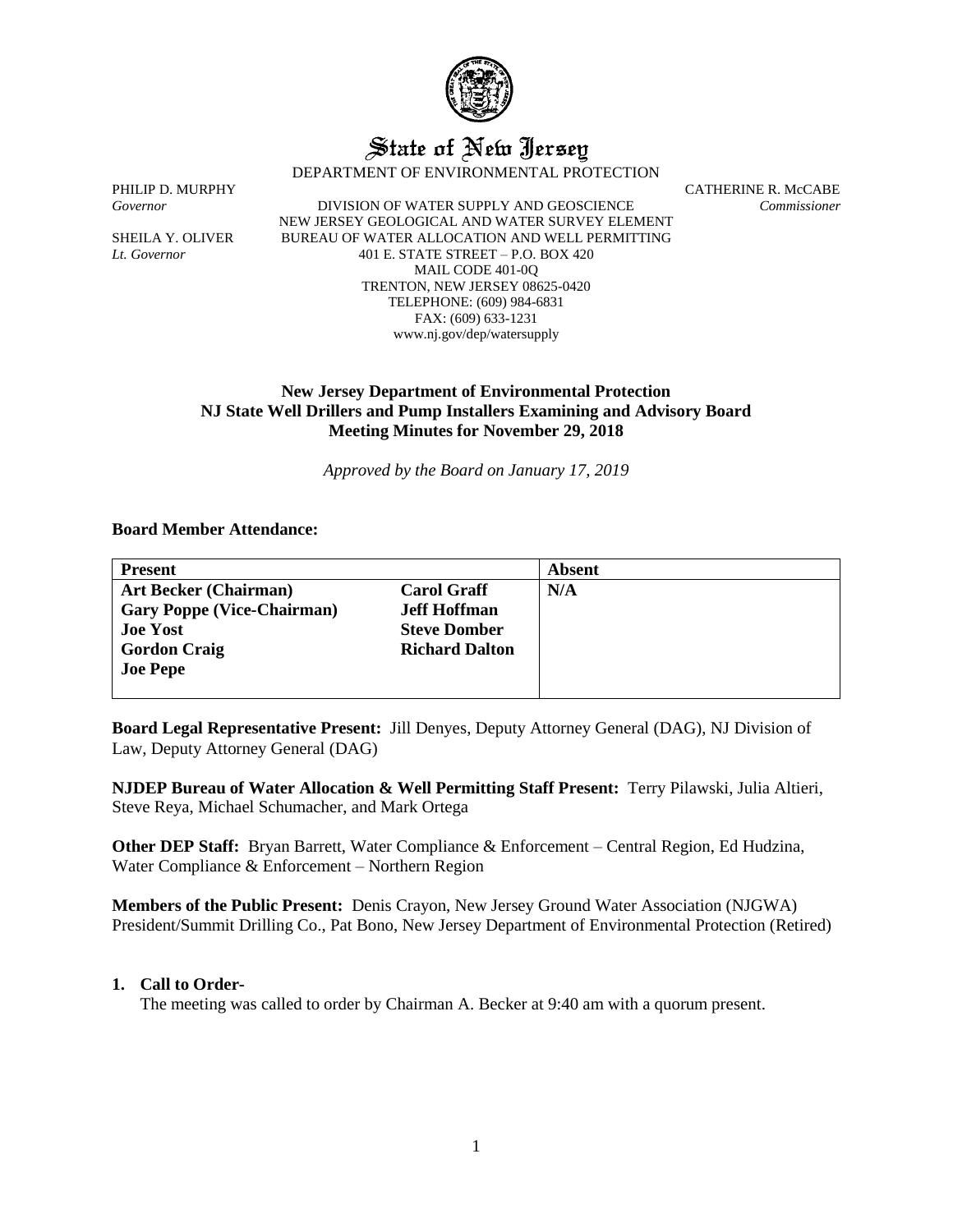

# State of New Jersey

DEPARTMENT OF ENVIRONMENTAL PROTECTION

*Governor* DIVISION OF WATER SUPPLY AND GEOSCIENCE *Commissioner* NEW JERSEY GEOLOGICAL AND WATER SURVEY ELEMENT SHEILA Y. OLIVER BUREAU OF WATER ALLOCATION AND WELL PERMITTING *Lt. Governor* 401 E. STATE STREET – P.O. BOX 420 MAIL CODE 401-0Q TRENTON, NEW JERSEY 08625-0420 TELEPHONE: (609) 984-6831 FAX: (609) 633-1231 www.nj.gov/dep/watersupply

PHILIP D. MURPHY CATHERINE R. McCABE

## **New Jersey Department of Environmental Protection NJ State Well Drillers and Pump Installers Examining and Advisory Board Meeting Minutes for November 29, 2018**

*Approved by the Board on January 17, 2019*

#### **Board Member Attendance:**

| <b>Present</b>                    |                       | Absent |
|-----------------------------------|-----------------------|--------|
| <b>Art Becker (Chairman)</b>      | <b>Carol Graff</b>    | N/A    |
| <b>Gary Poppe (Vice-Chairman)</b> | <b>Jeff Hoffman</b>   |        |
| <b>Joe Yost</b>                   | <b>Steve Domber</b>   |        |
| <b>Gordon Craig</b>               | <b>Richard Dalton</b> |        |
| <b>Joe Pepe</b>                   |                       |        |
|                                   |                       |        |

**Board Legal Representative Present:** Jill Denyes, Deputy Attorney General (DAG), NJ Division of Law, Deputy Attorney General (DAG)

**NJDEP Bureau of Water Allocation & Well Permitting Staff Present:** Terry Pilawski, Julia Altieri, Steve Reya, Michael Schumacher, and Mark Ortega

**Other DEP Staff:** Bryan Barrett, Water Compliance & Enforcement – Central Region, Ed Hudzina, Water Compliance & Enforcement – Northern Region

**Members of the Public Present:** Denis Crayon, New Jersey Ground Water Association (NJGWA) President/Summit Drilling Co., Pat Bono, New Jersey Department of Environmental Protection (Retired)

#### **1. Call to Order-**

The meeting was called to order by Chairman A. Becker at 9:40 am with a quorum present.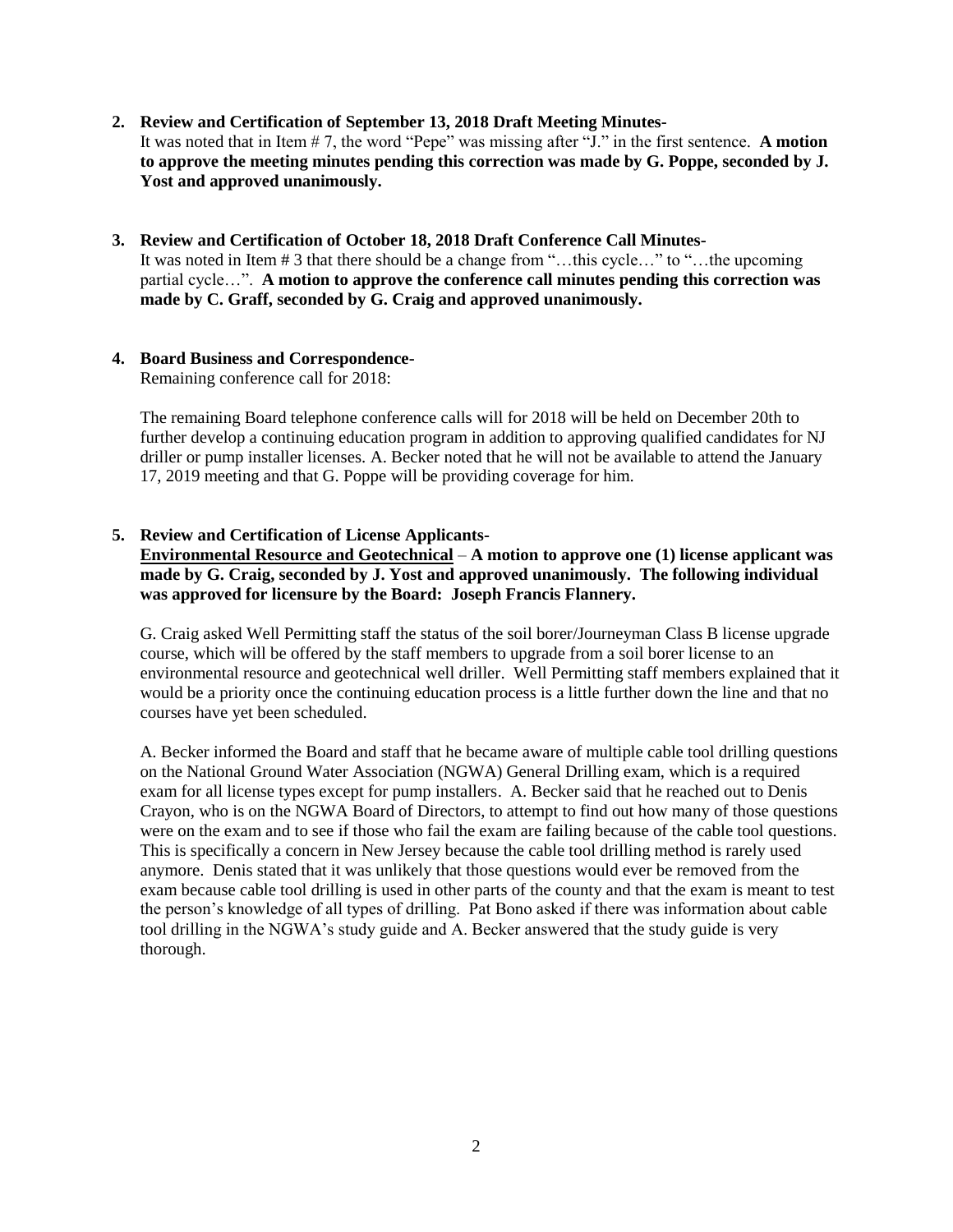#### **2. Review and Certification of September 13, 2018 Draft Meeting Minutes-**It was noted that in Item # 7, the word "Pepe" was missing after "J." in the first sentence. **A motion to approve the meeting minutes pending this correction was made by G. Poppe, seconded by J. Yost and approved unanimously.**

## **3. Review and Certification of October 18, 2018 Draft Conference Call Minutes-**It was noted in Item # 3 that there should be a change from "…this cycle…" to "…the upcoming partial cycle…". **A motion to approve the conference call minutes pending this correction was made by C. Graff, seconded by G. Craig and approved unanimously.**

## **4. Board Business and Correspondence-**

Remaining conference call for 2018:

The remaining Board telephone conference calls will for 2018 will be held on December 20th to further develop a continuing education program in addition to approving qualified candidates for NJ driller or pump installer licenses. A. Becker noted that he will not be available to attend the January 17, 2019 meeting and that G. Poppe will be providing coverage for him.

## **5. Review and Certification of License Applicants-**

**Environmental Resource and Geotechnical** – **A motion to approve one (1) license applicant was made by G. Craig, seconded by J. Yost and approved unanimously. The following individual was approved for licensure by the Board: Joseph Francis Flannery.**

G. Craig asked Well Permitting staff the status of the soil borer/Journeyman Class B license upgrade course, which will be offered by the staff members to upgrade from a soil borer license to an environmental resource and geotechnical well driller. Well Permitting staff members explained that it would be a priority once the continuing education process is a little further down the line and that no courses have yet been scheduled.

A. Becker informed the Board and staff that he became aware of multiple cable tool drilling questions on the National Ground Water Association (NGWA) General Drilling exam, which is a required exam for all license types except for pump installers. A. Becker said that he reached out to Denis Crayon, who is on the NGWA Board of Directors, to attempt to find out how many of those questions were on the exam and to see if those who fail the exam are failing because of the cable tool questions. This is specifically a concern in New Jersey because the cable tool drilling method is rarely used anymore. Denis stated that it was unlikely that those questions would ever be removed from the exam because cable tool drilling is used in other parts of the county and that the exam is meant to test the person's knowledge of all types of drilling. Pat Bono asked if there was information about cable tool drilling in the NGWA's study guide and A. Becker answered that the study guide is very thorough.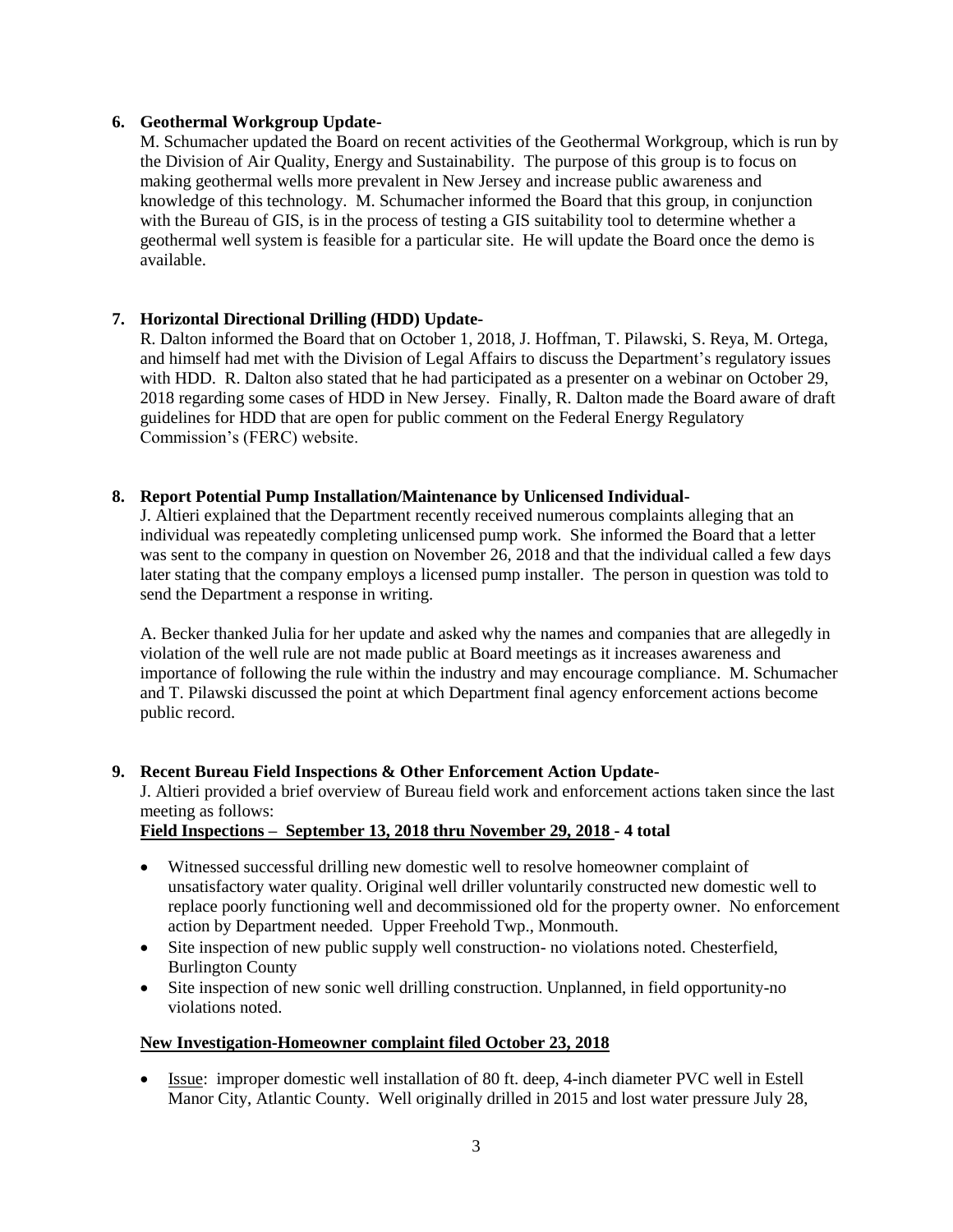## **6. Geothermal Workgroup Update-**

M. Schumacher updated the Board on recent activities of the Geothermal Workgroup, which is run by the Division of Air Quality, Energy and Sustainability. The purpose of this group is to focus on making geothermal wells more prevalent in New Jersey and increase public awareness and knowledge of this technology. M. Schumacher informed the Board that this group, in conjunction with the Bureau of GIS, is in the process of testing a GIS suitability tool to determine whether a geothermal well system is feasible for a particular site. He will update the Board once the demo is available.

## **7. Horizontal Directional Drilling (HDD) Update-**

R. Dalton informed the Board that on October 1, 2018, J. Hoffman, T. Pilawski, S. Reya, M. Ortega, and himself had met with the Division of Legal Affairs to discuss the Department's regulatory issues with HDD. R. Dalton also stated that he had participated as a presenter on a webinar on October 29, 2018 regarding some cases of HDD in New Jersey. Finally, R. Dalton made the Board aware of draft guidelines for HDD that are open for public comment on the Federal Energy Regulatory Commission's (FERC) website.

## **8. Report Potential Pump Installation/Maintenance by Unlicensed Individual-**

J. Altieri explained that the Department recently received numerous complaints alleging that an individual was repeatedly completing unlicensed pump work. She informed the Board that a letter was sent to the company in question on November 26, 2018 and that the individual called a few days later stating that the company employs a licensed pump installer. The person in question was told to send the Department a response in writing.

A. Becker thanked Julia for her update and asked why the names and companies that are allegedly in violation of the well rule are not made public at Board meetings as it increases awareness and importance of following the rule within the industry and may encourage compliance. M. Schumacher and T. Pilawski discussed the point at which Department final agency enforcement actions become public record.

## **9. Recent Bureau Field Inspections & Other Enforcement Action Update-**

J. Altieri provided a brief overview of Bureau field work and enforcement actions taken since the last meeting as follows:

## **Field Inspections – September 13, 2018 thru November 29, 2018 - 4 total**

- Witnessed successful drilling new domestic well to resolve homeowner complaint of unsatisfactory water quality. Original well driller voluntarily constructed new domestic well to replace poorly functioning well and decommissioned old for the property owner. No enforcement action by Department needed. Upper Freehold Twp., Monmouth.
- Site inspection of new public supply well construction- no violations noted. Chesterfield, Burlington County
- Site inspection of new sonic well drilling construction. Unplanned, in field opportunity-no violations noted.

## **New Investigation-Homeowner complaint filed October 23, 2018**

• Issue: improper domestic well installation of 80 ft. deep, 4-inch diameter PVC well in Estell Manor City, Atlantic County. Well originally drilled in 2015 and lost water pressure July 28,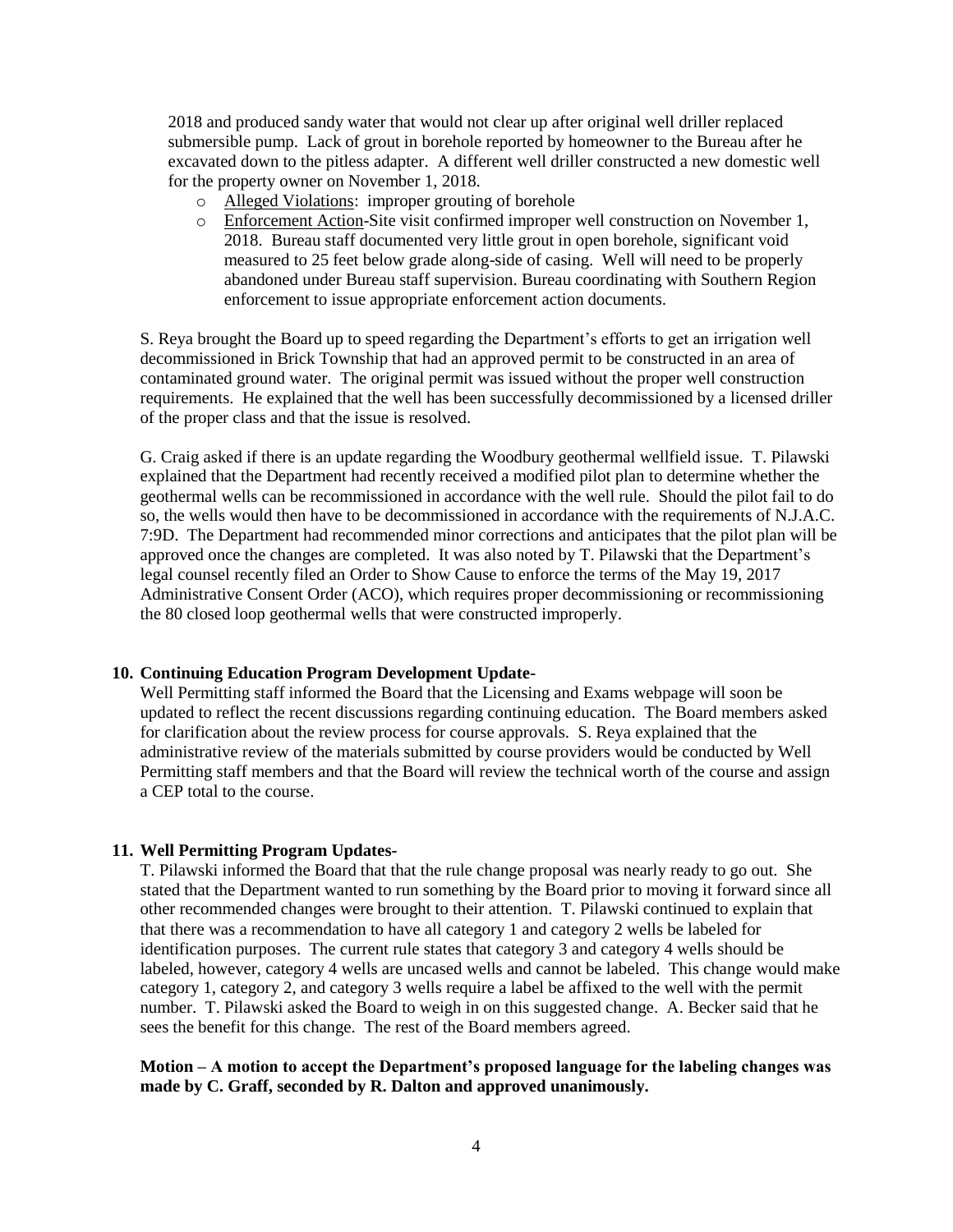2018 and produced sandy water that would not clear up after original well driller replaced submersible pump. Lack of grout in borehole reported by homeowner to the Bureau after he excavated down to the pitless adapter. A different well driller constructed a new domestic well for the property owner on November 1, 2018.

- o Alleged Violations: improper grouting of borehole
- o Enforcement Action-Site visit confirmed improper well construction on November 1, 2018. Bureau staff documented very little grout in open borehole, significant void measured to 25 feet below grade along-side of casing. Well will need to be properly abandoned under Bureau staff supervision. Bureau coordinating with Southern Region enforcement to issue appropriate enforcement action documents.

S. Reya brought the Board up to speed regarding the Department's efforts to get an irrigation well decommissioned in Brick Township that had an approved permit to be constructed in an area of contaminated ground water. The original permit was issued without the proper well construction requirements. He explained that the well has been successfully decommissioned by a licensed driller of the proper class and that the issue is resolved.

G. Craig asked if there is an update regarding the Woodbury geothermal wellfield issue. T. Pilawski explained that the Department had recently received a modified pilot plan to determine whether the geothermal wells can be recommissioned in accordance with the well rule. Should the pilot fail to do so, the wells would then have to be decommissioned in accordance with the requirements of N.J.A.C. 7:9D. The Department had recommended minor corrections and anticipates that the pilot plan will be approved once the changes are completed. It was also noted by T. Pilawski that the Department's legal counsel recently filed an Order to Show Cause to enforce the terms of the May 19, 2017 Administrative Consent Order (ACO), which requires proper decommissioning or recommissioning the 80 closed loop geothermal wells that were constructed improperly.

#### **10. Continuing Education Program Development Update-**

Well Permitting staff informed the Board that the Licensing and Exams webpage will soon be updated to reflect the recent discussions regarding continuing education. The Board members asked for clarification about the review process for course approvals. S. Reya explained that the administrative review of the materials submitted by course providers would be conducted by Well Permitting staff members and that the Board will review the technical worth of the course and assign a CEP total to the course.

#### **11. Well Permitting Program Updates-**

T. Pilawski informed the Board that that the rule change proposal was nearly ready to go out. She stated that the Department wanted to run something by the Board prior to moving it forward since all other recommended changes were brought to their attention. T. Pilawski continued to explain that that there was a recommendation to have all category 1 and category 2 wells be labeled for identification purposes. The current rule states that category 3 and category 4 wells should be labeled, however, category 4 wells are uncased wells and cannot be labeled. This change would make category 1, category 2, and category 3 wells require a label be affixed to the well with the permit number. T. Pilawski asked the Board to weigh in on this suggested change. A. Becker said that he sees the benefit for this change. The rest of the Board members agreed.

## **Motion – A motion to accept the Department's proposed language for the labeling changes was made by C. Graff, seconded by R. Dalton and approved unanimously.**